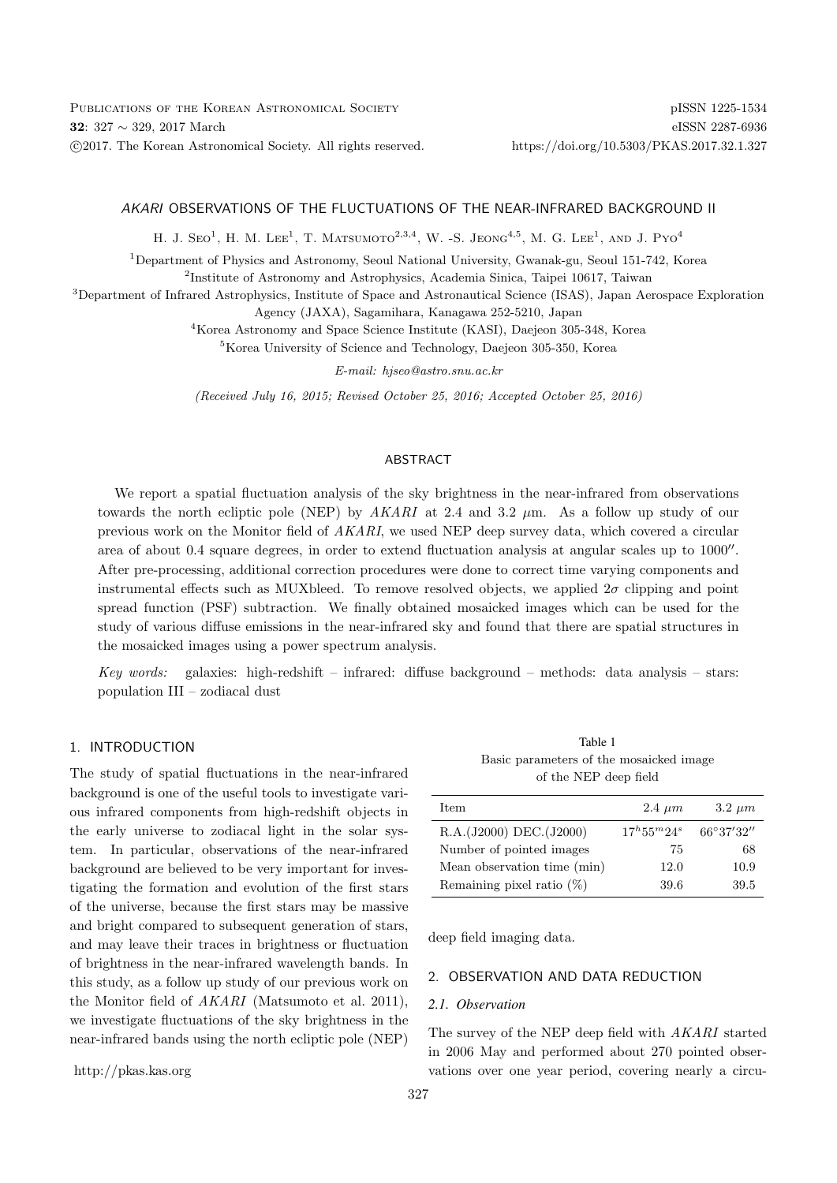## AKARI OBSERVATIONS OF THE FLUCTUATIONS OF THE NEAR-INFRARED BACKGROUND II

H. J. S $\text{EO}^1$ , H. M. LEE<sup>1</sup>, T. MATSUMOTO<sup>2,3,4</sup>, W. -S. JEONG<sup>4,5</sup>, M. G. LEE<sup>1</sup>, AND J. PyO<sup>4</sup>

<sup>1</sup>Department of Physics and Astronomy, Seoul National University, Gwanak-gu, Seoul 151-742, Korea

<sup>2</sup>Institute of Astronomy and Astrophysics, Academia Sinica, Taipei 10617, Taiwan

<sup>3</sup>Department of Infrared Astrophysics, Institute of Space and Astronautical Science (ISAS), Japan Aerospace Exploration Agency (JAXA), Sagamihara, Kanagawa 252-5210, Japan

<sup>4</sup>Korea Astronomy and Space Science Institute (KASI), Daejeon 305-348, Korea

<sup>5</sup>Korea University of Science and Technology, Daejeon 305-350, Korea

E-mail: hjseo@astro.snu.ac.kr

(Received July 16, 2015; Revised October 25, 2016; Accepted October 25, 2016)

## ABSTRACT

We report a spatial fluctuation analysis of the sky brightness in the near-infrared from observations towards the north ecliptic pole (NEP) by  $AKARI$  at 2.4 and 3.2  $\mu$ m. As a follow up study of our previous work on the Monitor field of AKARI, we used NEP deep survey data, which covered a circular area of about 0.4 square degrees, in order to extend fluctuation analysis at angular scales up to 1000". After pre-processing, additional correction procedures were done to correct time varying components and instrumental effects such as MUXbleed. To remove resolved objects, we applied  $2\sigma$  clipping and point spread function (PSF) subtraction. We finally obtained mosaicked images which can be used for the study of various diffuse emissions in the near-infrared sky and found that there are spatial structures in the mosaicked images using a power spectrum analysis.

Key words: galaxies: high-redshift – infrared: diffuse background – methods: data analysis – stars: population III – zodiacal dust

# 1. INTRODUCTION

The study of spatial fluctuations in the near-infrared background is one of the useful tools to investigate various infrared components from high-redshift objects in the early universe to zodiacal light in the solar system. In particular, observations of the near-infrared background are believed to be very important for investigating the formation and evolution of the first stars of the universe, because the first stars may be massive and bright compared to subsequent generation of stars, and may leave their traces in brightness or fluctuation of brightness in the near-infrared wavelength bands. In this study, as a follow up study of our previous work on the Monitor field of AKARI (Matsumoto et al. 2011), we investigate fluctuations of the sky brightness in the near-infrared bands using the north ecliptic pole (NEP)

Table 1 Basic parameters of the mosaicked image of the NEP deep field

| Item                         | $2.4 \ \mu m$        | $3.2 \ \mu m$ |
|------------------------------|----------------------|---------------|
| R.A.(J2000) DEC.(J2000)      | $17^{h}55^{m}24^{s}$ | 66°37'32"     |
| Number of pointed images     | 75                   | 68            |
| Mean observation time (min)  | 12.0                 | 10.9          |
| Remaining pixel ratio $(\%)$ | 39.6                 | 39.5          |

deep field imaging data.

## 2. OBSERVATION AND DATA REDUCTION

#### *2.1. Observation*

The survey of the NEP deep field with AKARI started in 2006 May and performed about 270 pointed observations over one year period, covering nearly a circu-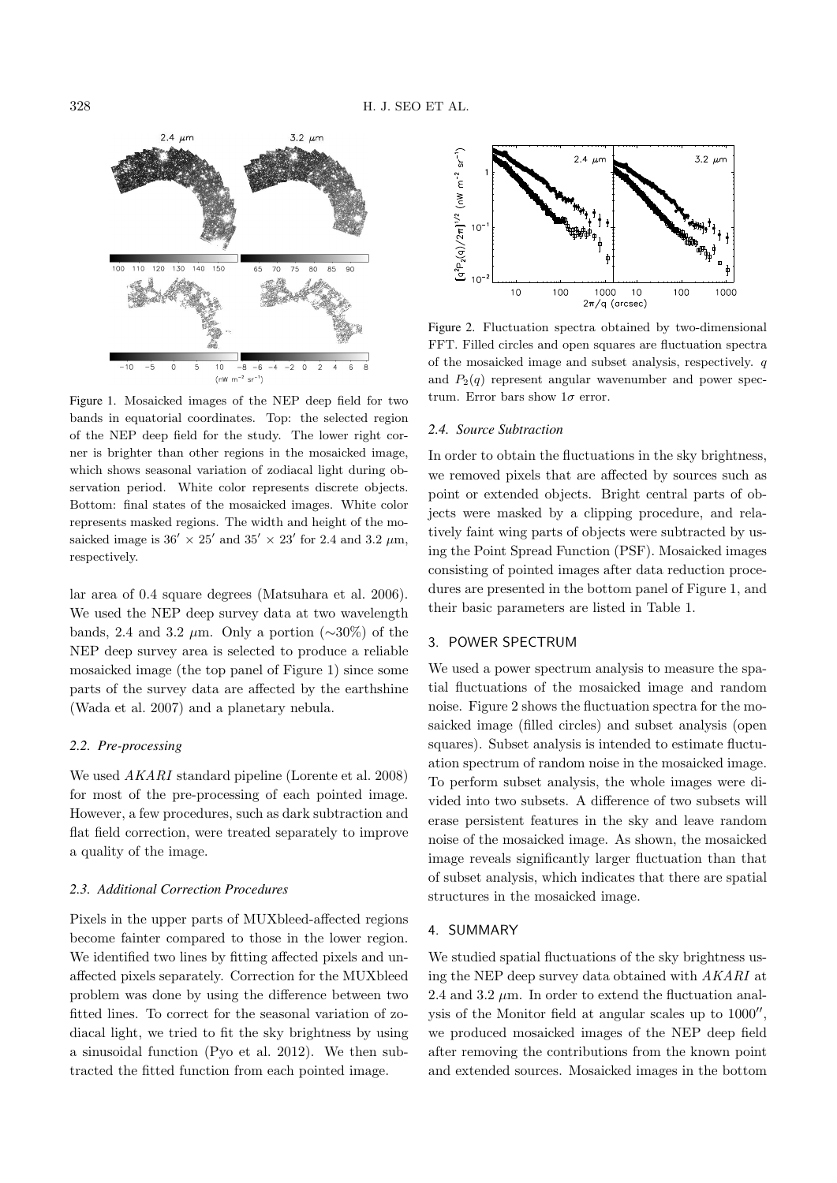

Figure 1. Mosaicked images of the NEP deep field for two bands in equatorial coordinates. Top: the selected region of the NEP deep field for the study. The lower right corner is brighter than other regions in the mosaicked image, which shows seasonal variation of zodiacal light during observation period. White color represents discrete objects. Bottom: final states of the mosaicked images. White color represents masked regions. The width and height of the mosaicked image is  $36' \times 25'$  and  $35' \times 23'$  for 2.4 and 3.2  $\mu$ m, respectively.

lar area of 0.4 square degrees (Matsuhara et al. 2006). We used the NEP deep survey data at two wavelength bands, 2.4 and 3.2  $\mu$ m. Only a portion (∼30%) of the NEP deep survey area is selected to produce a reliable mosaicked image (the top panel of Figure 1) since some parts of the survey data are affected by the earthshine (Wada et al. 2007) and a planetary nebula.

# *2.2. Pre-processing*

We used AKARI standard pipeline (Lorente et al. 2008) for most of the pre-processing of each pointed image. However, a few procedures, such as dark subtraction and flat field correction, were treated separately to improve a quality of the image.

## *2.3. Additional Correction Procedures*

Pixels in the upper parts of MUXbleed-affected regions become fainter compared to those in the lower region. We identified two lines by fitting affected pixels and unaffected pixels separately. Correction for the MUXbleed problem was done by using the difference between two fitted lines. To correct for the seasonal variation of zodiacal light, we tried to fit the sky brightness by using a sinusoidal function (Pyo et al. 2012). We then subtracted the fitted function from each pointed image.



Figure 2. Fluctuation spectra obtained by two-dimensional FFT. Filled circles and open squares are fluctuation spectra of the mosaicked image and subset analysis, respectively. q and  $P_2(q)$  represent angular wavenumber and power spectrum. Error bars show  $1\sigma$  error.

#### *2.4. Source Subtraction*

In order to obtain the fluctuations in the sky brightness, we removed pixels that are affected by sources such as point or extended objects. Bright central parts of objects were masked by a clipping procedure, and relatively faint wing parts of objects were subtracted by using the Point Spread Function (PSF). Mosaicked images consisting of pointed images after data reduction procedures are presented in the bottom panel of Figure 1, and their basic parameters are listed in Table 1.

# 3. POWER SPECTRUM

We used a power spectrum analysis to measure the spatial fluctuations of the mosaicked image and random noise. Figure 2 shows the fluctuation spectra for the mosaicked image (filled circles) and subset analysis (open squares). Subset analysis is intended to estimate fluctuation spectrum of random noise in the mosaicked image. To perform subset analysis, the whole images were divided into two subsets. A difference of two subsets will erase persistent features in the sky and leave random noise of the mosaicked image. As shown, the mosaicked image reveals significantly larger fluctuation than that of subset analysis, which indicates that there are spatial structures in the mosaicked image.

## 4. SUMMARY

We studied spatial fluctuations of the sky brightness using the NEP deep survey data obtained with AKARI at 2.4 and 3.2  $\mu$ m. In order to extend the fluctuation analysis of the Monitor field at angular scales up to  $1000''$ , we produced mosaicked images of the NEP deep field after removing the contributions from the known point and extended sources. Mosaicked images in the bottom